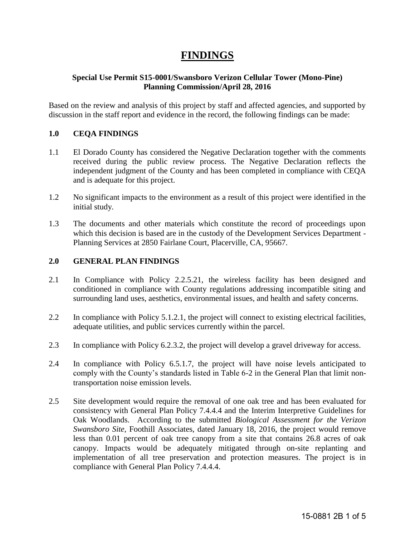# **FINDINGS**

## **Special Use Permit S15-0001/Swansboro Verizon Cellular Tower (Mono-Pine) Planning Commission/April 28, 2016**

Based on the review and analysis of this project by staff and affected agencies, and supported by discussion in the staff report and evidence in the record, the following findings can be made:

## **1.0 CEQA FINDINGS**

- 1.1 El Dorado County has considered the Negative Declaration together with the comments received during the public review process. The Negative Declaration reflects the independent judgment of the County and has been completed in compliance with CEQA and is adequate for this project.
- 1.2 No significant impacts to the environment as a result of this project were identified in the initial study.
- 1.3 The documents and other materials which constitute the record of proceedings upon which this decision is based are in the custody of the Development Services Department -Planning Services at 2850 Fairlane Court, Placerville, CA, 95667.

## **2.0 GENERAL PLAN FINDINGS**

- 2.1 In Compliance with Policy 2.2.5.21, the wireless facility has been designed and conditioned in compliance with County regulations addressing incompatible siting and surrounding land uses, aesthetics, environmental issues, and health and safety concerns.
- 2.2 In compliance with Policy 5.1.2.1, the project will connect to existing electrical facilities, adequate utilities, and public services currently within the parcel.
- 2.3 In compliance with Policy 6.2.3.2, the project will develop a gravel driveway for access.
- 2.4 In compliance with Policy 6.5.1.7, the project will have noise levels anticipated to comply with the County's standards listed in Table 6-2 in the General Plan that limit nontransportation noise emission levels.
- 2.5 Site development would require the removal of one oak tree and has been evaluated for consistency with General Plan Policy 7.4.4.4 and the Interim Interpretive Guidelines for Oak Woodlands. According to the submitted *Biological Assessment for the Verizon Swansboro Site,* Foothill Associates, dated January 18, 2016, the project would remove less than 0.01 percent of oak tree canopy from a site that contains 26.8 acres of oak canopy. Impacts would be adequately mitigated through on-site replanting and implementation of all tree preservation and protection measures. The project is in compliance with General Plan Policy 7.4.4.4.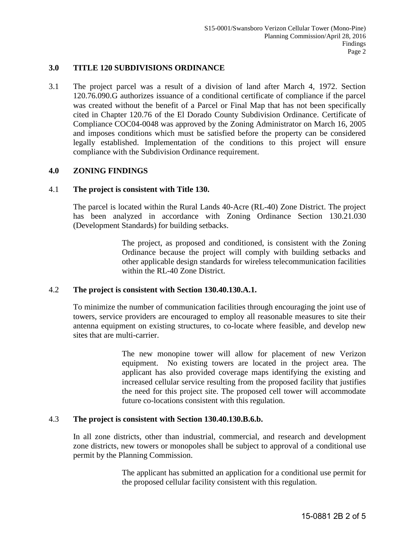### **3.0 TITLE 120 SUBDIVISIONS ORDINANCE**

3.1 The project parcel was a result of a division of land after March 4, 1972. Section 120.76.090.G authorizes issuance of a conditional certificate of compliance if the parcel was created without the benefit of a Parcel or Final Map that has not been specifically cited in Chapter 120.76 of the El Dorado County Subdivision Ordinance. Certificate of Compliance COC04-0048 was approved by the Zoning Administrator on March 16, 2005 and imposes conditions which must be satisfied before the property can be considered legally established. Implementation of the conditions to this project will ensure compliance with the Subdivision Ordinance requirement.

#### **4.0 ZONING FINDINGS**

#### 4.1 **The project is consistent with Title 130.**

The parcel is located within the Rural Lands 40-Acre (RL-40) Zone District. The project has been analyzed in accordance with Zoning Ordinance Section 130.21.030 (Development Standards) for building setbacks.

> The project, as proposed and conditioned, is consistent with the Zoning Ordinance because the project will comply with building setbacks and other applicable design standards for wireless telecommunication facilities within the RL-40 Zone District.

#### 4.2 **The project is consistent with Section 130.40.130.A.1.**

To minimize the number of communication facilities through encouraging the joint use of towers, service providers are encouraged to employ all reasonable measures to site their antenna equipment on existing structures, to co-locate where feasible, and develop new sites that are multi-carrier.

> The new monopine tower will allow for placement of new Verizon equipment. No existing towers are located in the project area. The applicant has also provided coverage maps identifying the existing and increased cellular service resulting from the proposed facility that justifies the need for this project site. The proposed cell tower will accommodate future co-locations consistent with this regulation.

#### 4.3 **The project is consistent with Section 130.40.130.B.6.b.**

In all zone districts, other than industrial, commercial, and research and development zone districts, new towers or monopoles shall be subject to approval of a conditional use permit by the Planning Commission.

> The applicant has submitted an application for a conditional use permit for the proposed cellular facility consistent with this regulation.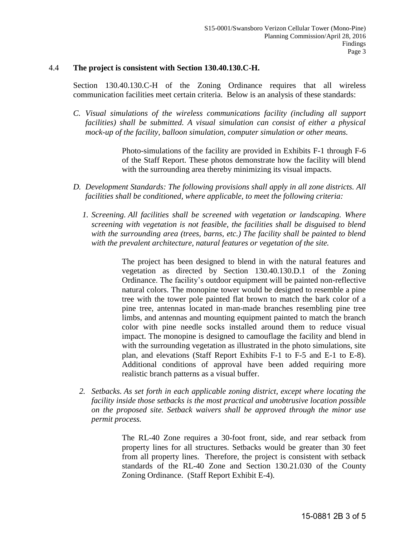#### 4.4 **The project is consistent with Section 130.40.130.C-H.**

Section 130.40.130.C-H of the Zoning Ordinance requires that all wireless communication facilities meet certain criteria. Below is an analysis of these standards:

*C. Visual simulations of the wireless communications facility (including all support facilities) shall be submitted. A visual simulation can consist of either a physical mock-up of the facility, balloon simulation, computer simulation or other means.*

> Photo-simulations of the facility are provided in Exhibits F-1 through F-6 of the Staff Report. These photos demonstrate how the facility will blend with the surrounding area thereby minimizing its visual impacts.

- *D. Development Standards: The following provisions shall apply in all zone districts. All facilities shall be conditioned, where applicable, to meet the following criteria:* 
	- *1. Screening. All facilities shall be screened with vegetation or landscaping. Where screening with vegetation is not feasible, the facilities shall be disguised to blend with the surrounding area (trees, barns, etc.) The facility shall be painted to blend with the prevalent architecture, natural features or vegetation of the site.*

The project has been designed to blend in with the natural features and vegetation as directed by Section 130.40.130.D.1 of the Zoning Ordinance. The facility's outdoor equipment will be painted non-reflective natural colors. The monopine tower would be designed to resemble a pine tree with the tower pole painted flat brown to match the bark color of a pine tree, antennas located in man-made branches resembling pine tree limbs, and antennas and mounting equipment painted to match the branch color with pine needle socks installed around them to reduce visual impact. The monopine is designed to camouflage the facility and blend in with the surrounding vegetation as illustrated in the photo simulations, site plan, and elevations (Staff Report Exhibits F-1 to F-5 and E-1 to E-8). Additional conditions of approval have been added requiring more realistic branch patterns as a visual buffer.

*2. Setbacks. As set forth in each applicable zoning district, except where locating the facility inside those setbacks is the most practical and unobtrusive location possible on the proposed site. Setback waivers shall be approved through the minor use permit process.* 

> The RL-40 Zone requires a 30-foot front, side, and rear setback from property lines for all structures. Setbacks would be greater than 30 feet from all property lines. Therefore, the project is consistent with setback standards of the RL-40 Zone and Section 130.21.030 of the County Zoning Ordinance. (Staff Report Exhibit E-4).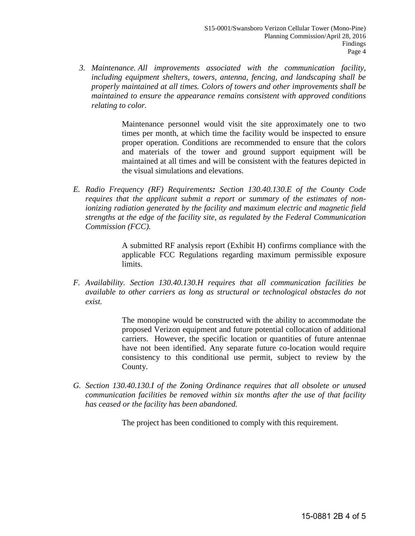*3. Maintenance. All improvements associated with the communication facility, including equipment shelters, towers, antenna, fencing, and landscaping shall be properly maintained at all times. Colors of towers and other improvements shall be maintained to ensure the appearance remains consistent with approved conditions relating to color.* 

> Maintenance personnel would visit the site approximately one to two times per month, at which time the facility would be inspected to ensure proper operation. Conditions are recommended to ensure that the colors and materials of the tower and ground support equipment will be maintained at all times and will be consistent with the features depicted in the visual simulations and elevations.

*E. Radio Frequency (RF) Requirements: Section 130.40.130.E of the County Code requires that the applicant submit a report or summary of the estimates of nonionizing radiation generated by the facility and maximum electric and magnetic field strengths at the edge of the facility site, as regulated by the Federal Communication Commission (FCC).* 

> A submitted RF analysis report (Exhibit H) confirms compliance with the applicable FCC Regulations regarding maximum permissible exposure limits.

*F. Availability. Section 130.40.130.H requires that all communication facilities be available to other carriers as long as structural or technological obstacles do not exist.*

> The monopine would be constructed with the ability to accommodate the proposed Verizon equipment and future potential collocation of additional carriers. However, the specific location or quantities of future antennae have not been identified. Any separate future co-location would require consistency to this conditional use permit, subject to review by the County.

*G. Section 130.40.130.I of the Zoning Ordinance requires that all obsolete or unused communication facilities be removed within six months after the use of that facility has ceased or the facility has been abandoned.* 

The project has been conditioned to comply with this requirement.